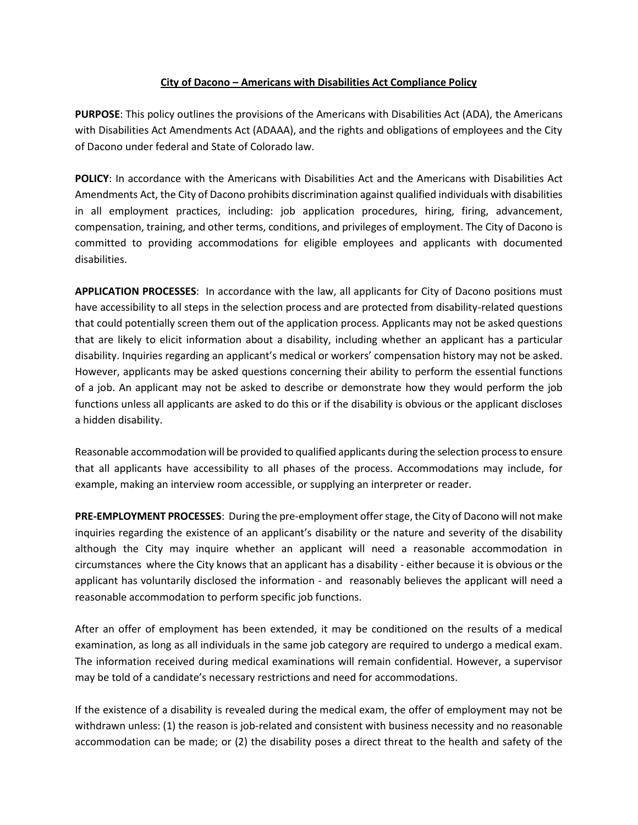## **City of Dacono – Americans with Disabilities Act Compliance Policy**

**PURPOSE**: This policy outlines the provisions of the Americans with Disabilities Act (ADA), the Americans with Disabilities Act Amendments Act (ADAAA), and the rights and obligations of employees and the City of Dacono under federal and State of Colorado law.

**POLICY**: In accordance with the Americans with Disabilities Act and the Americans with Disabilities Act Amendments Act, the City of Dacono prohibits discrimination against qualified individuals with disabilities in all employment practices, including: job application procedures, hiring, firing, advancement, compensation, training, and other terms, conditions, and privileges of employment. The City of Dacono is committed to providing accommodations for eligible employees and applicants with documented disabilities.

**APPLICATION PROCESSES**: In accordance with the law, all applicants for City of Dacono positions must have accessibility to all steps in the selection process and are protected from disability-related questions that could potentially screen them out of the application process. Applicants may not be asked questions that are likely to elicit information about a disability, including whether an applicant has a particular disability. Inquiries regarding an applicant's medical or workers' compensation history may not be asked. However, applicants may be asked questions concerning their ability to perform the essential functions of a job. An applicant may not be asked to describe or demonstrate how they would perform the job functions unless all applicants are asked to do this or if the disability is obvious or the applicant discloses a hidden disability.

Reasonable accommodation will be provided to qualified applicants during the selection process to ensure that all applicants have accessibility to all phases of the process. Accommodations may include, for example, making an interview room accessible, or supplying an interpreter or reader.

**PRE-EMPLOYMENT PROCESSES**: During the pre-employment offerstage, the City of Dacono will not make inquiries regarding the existence of an applicant's disability or the nature and severity of the disability although the City may inquire whether an applicant will need a reasonable accommodation in circumstances where the City knows that an applicant has a disability - either because it is obvious or the applicant has voluntarily disclosed the information - and reasonably believes the applicant will need a reasonable accommodation to perform specific job functions.

After an offer of employment has been extended, it may be conditioned on the results of a medical examination, as long as all individuals in the same job category are required to undergo a medical exam. The information received during medical examinations will remain confidential. However, a supervisor may be told of a candidate's necessary restrictions and need for accommodations.

If the existence of a disability is revealed during the medical exam, the offer of employment may not be withdrawn unless: (1) the reason is job-related and consistent with business necessity and no reasonable accommodation can be made; or (2) the disability poses a direct threat to the health and safety of the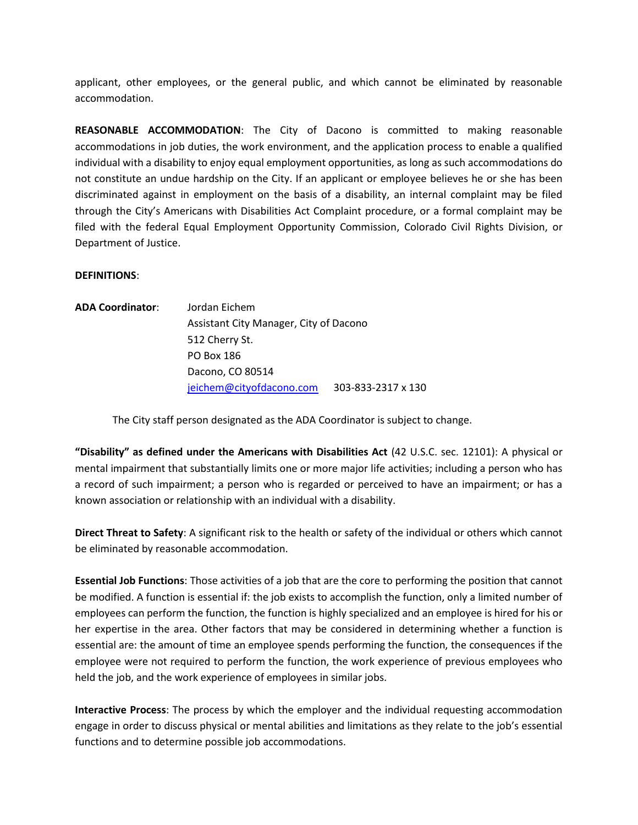applicant, other employees, or the general public, and which cannot be eliminated by reasonable accommodation.

**REASONABLE ACCOMMODATION**: The City of Dacono is committed to making reasonable accommodations in job duties, the work environment, and the application process to enable a qualified individual with a disability to enjoy equal employment opportunities, as long as such accommodations do not constitute an undue hardship on the City. If an applicant or employee believes he or she has been discriminated against in employment on the basis of a disability, an internal complaint may be filed through the City's Americans with Disabilities Act Complaint procedure, or a formal complaint may be filed with the federal Equal Employment Opportunity Commission, Colorado Civil Rights Division, or Department of Justice.

## **DEFINITIONS**:

| <b>ADA Coordinator:</b> | Jordan Eichem                          |                    |
|-------------------------|----------------------------------------|--------------------|
|                         | Assistant City Manager, City of Dacono |                    |
|                         | 512 Cherry St.                         |                    |
|                         | PO Box 186                             |                    |
|                         | Dacono, CO 80514                       |                    |
|                         | jeichem@cityofdacono.com               | 303-833-2317 x 130 |

The City staff person designated as the ADA Coordinator is subject to change.

**"Disability" as defined under the Americans with Disabilities Act** (42 U.S.C. sec. 12101): A physical or mental impairment that substantially limits one or more major life activities; including a person who has a record of such impairment; a person who is regarded or perceived to have an impairment; or has a known association or relationship with an individual with a disability.

**Direct Threat to Safety**: A significant risk to the health or safety of the individual or others which cannot be eliminated by reasonable accommodation.

**Essential Job Functions**: Those activities of a job that are the core to performing the position that cannot be modified. A function is essential if: the job exists to accomplish the function, only a limited number of employees can perform the function, the function is highly specialized and an employee is hired for his or her expertise in the area. Other factors that may be considered in determining whether a function is essential are: the amount of time an employee spends performing the function, the consequences if the employee were not required to perform the function, the work experience of previous employees who held the job, and the work experience of employees in similar jobs.

**Interactive Process**: The process by which the employer and the individual requesting accommodation engage in order to discuss physical or mental abilities and limitations as they relate to the job's essential functions and to determine possible job accommodations.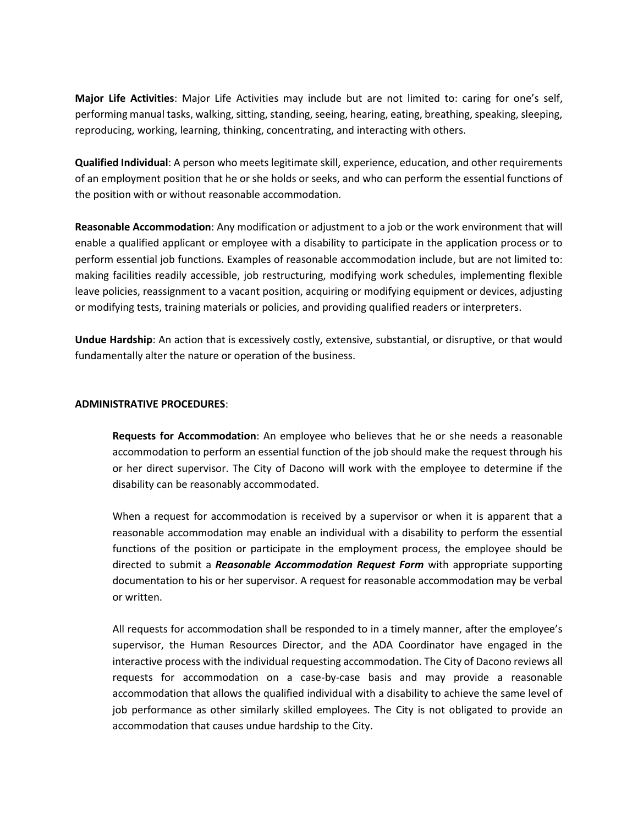**Major Life Activities**: Major Life Activities may include but are not limited to: caring for one's self, performing manual tasks, walking, sitting, standing, seeing, hearing, eating, breathing, speaking, sleeping, reproducing, working, learning, thinking, concentrating, and interacting with others.

**Qualified Individual**: A person who meets legitimate skill, experience, education, and other requirements of an employment position that he or she holds or seeks, and who can perform the essential functions of the position with or without reasonable accommodation.

**Reasonable Accommodation**: Any modification or adjustment to a job or the work environment that will enable a qualified applicant or employee with a disability to participate in the application process or to perform essential job functions. Examples of reasonable accommodation include, but are not limited to: making facilities readily accessible, job restructuring, modifying work schedules, implementing flexible leave policies, reassignment to a vacant position, acquiring or modifying equipment or devices, adjusting or modifying tests, training materials or policies, and providing qualified readers or interpreters.

**Undue Hardship**: An action that is excessively costly, extensive, substantial, or disruptive, or that would fundamentally alter the nature or operation of the business.

## **ADMINISTRATIVE PROCEDURES**:

**Requests for Accommodation**: An employee who believes that he or she needs a reasonable accommodation to perform an essential function of the job should make the request through his or her direct supervisor. The City of Dacono will work with the employee to determine if the disability can be reasonably accommodated.

When a request for accommodation is received by a supervisor or when it is apparent that a reasonable accommodation may enable an individual with a disability to perform the essential functions of the position or participate in the employment process, the employee should be directed to submit a *Reasonable Accommodation Request Form* with appropriate supporting documentation to his or her supervisor. A request for reasonable accommodation may be verbal or written.

All requests for accommodation shall be responded to in a timely manner, after the employee's supervisor, the Human Resources Director, and the ADA Coordinator have engaged in the interactive process with the individual requesting accommodation. The City of Dacono reviews all requests for accommodation on a case-by-case basis and may provide a reasonable accommodation that allows the qualified individual with a disability to achieve the same level of job performance as other similarly skilled employees. The City is not obligated to provide an accommodation that causes undue hardship to the City.